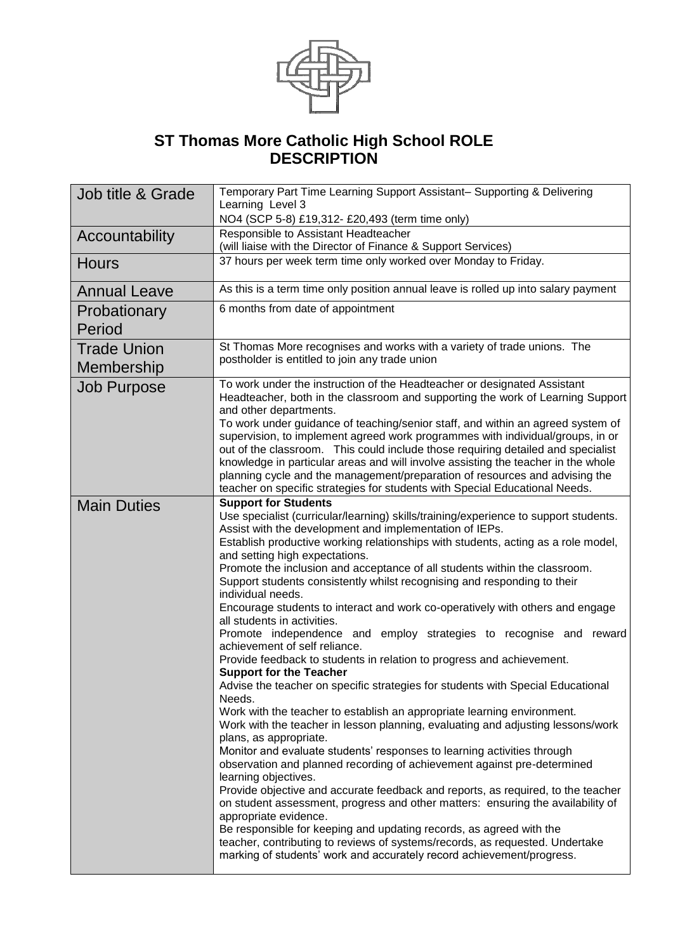

## **ST Thomas More Catholic High School ROLE DESCRIPTION**

| Job title & Grade                | Temporary Part Time Learning Support Assistant- Supporting & Delivering<br>Learning Level 3                                                                                                                                                                                                                                                                                                                                                                                                                                                                                                                                                                                                                                                                                                                                                                                                                                                                                                                                                                                                                                                                                                                                                                                                                                                                                                                                                                                                                                                                                                                                                                                                                               |  |  |
|----------------------------------|---------------------------------------------------------------------------------------------------------------------------------------------------------------------------------------------------------------------------------------------------------------------------------------------------------------------------------------------------------------------------------------------------------------------------------------------------------------------------------------------------------------------------------------------------------------------------------------------------------------------------------------------------------------------------------------------------------------------------------------------------------------------------------------------------------------------------------------------------------------------------------------------------------------------------------------------------------------------------------------------------------------------------------------------------------------------------------------------------------------------------------------------------------------------------------------------------------------------------------------------------------------------------------------------------------------------------------------------------------------------------------------------------------------------------------------------------------------------------------------------------------------------------------------------------------------------------------------------------------------------------------------------------------------------------------------------------------------------------|--|--|
|                                  | NO4 (SCP 5-8) £19,312- £20,493 (term time only)                                                                                                                                                                                                                                                                                                                                                                                                                                                                                                                                                                                                                                                                                                                                                                                                                                                                                                                                                                                                                                                                                                                                                                                                                                                                                                                                                                                                                                                                                                                                                                                                                                                                           |  |  |
| Accountability                   | Responsible to Assistant Headteacher                                                                                                                                                                                                                                                                                                                                                                                                                                                                                                                                                                                                                                                                                                                                                                                                                                                                                                                                                                                                                                                                                                                                                                                                                                                                                                                                                                                                                                                                                                                                                                                                                                                                                      |  |  |
|                                  | (will liaise with the Director of Finance & Support Services)                                                                                                                                                                                                                                                                                                                                                                                                                                                                                                                                                                                                                                                                                                                                                                                                                                                                                                                                                                                                                                                                                                                                                                                                                                                                                                                                                                                                                                                                                                                                                                                                                                                             |  |  |
| <b>Hours</b>                     | 37 hours per week term time only worked over Monday to Friday.                                                                                                                                                                                                                                                                                                                                                                                                                                                                                                                                                                                                                                                                                                                                                                                                                                                                                                                                                                                                                                                                                                                                                                                                                                                                                                                                                                                                                                                                                                                                                                                                                                                            |  |  |
| <b>Annual Leave</b>              | As this is a term time only position annual leave is rolled up into salary payment                                                                                                                                                                                                                                                                                                                                                                                                                                                                                                                                                                                                                                                                                                                                                                                                                                                                                                                                                                                                                                                                                                                                                                                                                                                                                                                                                                                                                                                                                                                                                                                                                                        |  |  |
| Probationary<br>Period           | 6 months from date of appointment                                                                                                                                                                                                                                                                                                                                                                                                                                                                                                                                                                                                                                                                                                                                                                                                                                                                                                                                                                                                                                                                                                                                                                                                                                                                                                                                                                                                                                                                                                                                                                                                                                                                                         |  |  |
| <b>Trade Union</b><br>Membership | St Thomas More recognises and works with a variety of trade unions. The<br>postholder is entitled to join any trade union                                                                                                                                                                                                                                                                                                                                                                                                                                                                                                                                                                                                                                                                                                                                                                                                                                                                                                                                                                                                                                                                                                                                                                                                                                                                                                                                                                                                                                                                                                                                                                                                 |  |  |
| <b>Job Purpose</b>               | To work under the instruction of the Headteacher or designated Assistant<br>Headteacher, both in the classroom and supporting the work of Learning Support<br>and other departments.<br>To work under guidance of teaching/senior staff, and within an agreed system of<br>supervision, to implement agreed work programmes with individual/groups, in or<br>out of the classroom. This could include those requiring detailed and specialist<br>knowledge in particular areas and will involve assisting the teacher in the whole<br>planning cycle and the management/preparation of resources and advising the<br>teacher on specific strategies for students with Special Educational Needs.                                                                                                                                                                                                                                                                                                                                                                                                                                                                                                                                                                                                                                                                                                                                                                                                                                                                                                                                                                                                                          |  |  |
| <b>Main Duties</b>               | <b>Support for Students</b><br>Use specialist (curricular/learning) skills/training/experience to support students.<br>Assist with the development and implementation of IEPs.<br>Establish productive working relationships with students, acting as a role model,<br>and setting high expectations.<br>Promote the inclusion and acceptance of all students within the classroom.<br>Support students consistently whilst recognising and responding to their<br>individual needs.<br>Encourage students to interact and work co-operatively with others and engage<br>all students in activities.<br>Promote independence and employ strategies to recognise and reward<br>achievement of self reliance.<br>Provide feedback to students in relation to progress and achievement.<br><b>Support for the Teacher</b><br>Advise the teacher on specific strategies for students with Special Educational<br>Needs.<br>Work with the teacher to establish an appropriate learning environment.<br>Work with the teacher in lesson planning, evaluating and adjusting lessons/work<br>plans, as appropriate.<br>Monitor and evaluate students' responses to learning activities through<br>observation and planned recording of achievement against pre-determined<br>learning objectives.<br>Provide objective and accurate feedback and reports, as required, to the teacher<br>on student assessment, progress and other matters: ensuring the availability of<br>appropriate evidence.<br>Be responsible for keeping and updating records, as agreed with the<br>teacher, contributing to reviews of systems/records, as requested. Undertake<br>marking of students' work and accurately record achievement/progress. |  |  |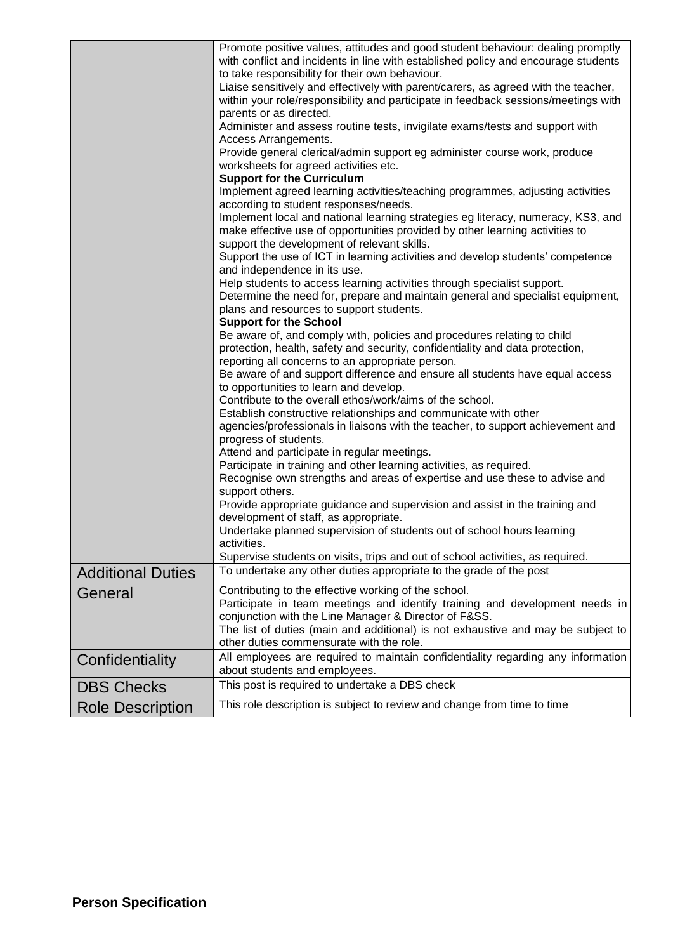| <b>Additional Duties</b><br>General | Promote positive values, attitudes and good student behaviour: dealing promptly<br>with conflict and incidents in line with established policy and encourage students<br>to take responsibility for their own behaviour.<br>Liaise sensitively and effectively with parent/carers, as agreed with the teacher,<br>within your role/responsibility and participate in feedback sessions/meetings with<br>parents or as directed.<br>Administer and assess routine tests, invigilate exams/tests and support with<br>Access Arrangements.<br>Provide general clerical/admin support eg administer course work, produce<br>worksheets for agreed activities etc.<br><b>Support for the Curriculum</b><br>Implement agreed learning activities/teaching programmes, adjusting activities<br>according to student responses/needs.<br>Implement local and national learning strategies eg literacy, numeracy, KS3, and<br>make effective use of opportunities provided by other learning activities to<br>support the development of relevant skills.<br>Support the use of ICT in learning activities and develop students' competence<br>and independence in its use.<br>Help students to access learning activities through specialist support.<br>Determine the need for, prepare and maintain general and specialist equipment,<br>plans and resources to support students.<br><b>Support for the School</b><br>Be aware of, and comply with, policies and procedures relating to child<br>protection, health, safety and security, confidentiality and data protection,<br>reporting all concerns to an appropriate person.<br>Be aware of and support difference and ensure all students have equal access<br>to opportunities to learn and develop.<br>Contribute to the overall ethos/work/aims of the school.<br>Establish constructive relationships and communicate with other<br>agencies/professionals in liaisons with the teacher, to support achievement and<br>progress of students.<br>Attend and participate in regular meetings.<br>Participate in training and other learning activities, as required.<br>Recognise own strengths and areas of expertise and use these to advise and<br>support others.<br>Provide appropriate guidance and supervision and assist in the training and<br>development of staff, as appropriate.<br>Undertake planned supervision of students out of school hours learning<br>activities.<br>Supervise students on visits, trips and out of school activities, as required.<br>To undertake any other duties appropriate to the grade of the post<br>Contributing to the effective working of the school. |  |
|-------------------------------------|-----------------------------------------------------------------------------------------------------------------------------------------------------------------------------------------------------------------------------------------------------------------------------------------------------------------------------------------------------------------------------------------------------------------------------------------------------------------------------------------------------------------------------------------------------------------------------------------------------------------------------------------------------------------------------------------------------------------------------------------------------------------------------------------------------------------------------------------------------------------------------------------------------------------------------------------------------------------------------------------------------------------------------------------------------------------------------------------------------------------------------------------------------------------------------------------------------------------------------------------------------------------------------------------------------------------------------------------------------------------------------------------------------------------------------------------------------------------------------------------------------------------------------------------------------------------------------------------------------------------------------------------------------------------------------------------------------------------------------------------------------------------------------------------------------------------------------------------------------------------------------------------------------------------------------------------------------------------------------------------------------------------------------------------------------------------------------------------------------------------------------------------------------------------------------------------------------------------------------------------------------------------------------------------------------------------------------------------------------------------------------------------------------------------------------------------------------------------------------------------------------------------------------------------------------------------------------------------------------------------------------------------------------------|--|
|                                     |                                                                                                                                                                                                                                                                                                                                                                                                                                                                                                                                                                                                                                                                                                                                                                                                                                                                                                                                                                                                                                                                                                                                                                                                                                                                                                                                                                                                                                                                                                                                                                                                                                                                                                                                                                                                                                                                                                                                                                                                                                                                                                                                                                                                                                                                                                                                                                                                                                                                                                                                                                                                                                                           |  |
|                                     | Participate in team meetings and identify training and development needs in<br>conjunction with the Line Manager & Director of F&SS.<br>The list of duties (main and additional) is not exhaustive and may be subject to                                                                                                                                                                                                                                                                                                                                                                                                                                                                                                                                                                                                                                                                                                                                                                                                                                                                                                                                                                                                                                                                                                                                                                                                                                                                                                                                                                                                                                                                                                                                                                                                                                                                                                                                                                                                                                                                                                                                                                                                                                                                                                                                                                                                                                                                                                                                                                                                                                  |  |
|                                     | other duties commensurate with the role.                                                                                                                                                                                                                                                                                                                                                                                                                                                                                                                                                                                                                                                                                                                                                                                                                                                                                                                                                                                                                                                                                                                                                                                                                                                                                                                                                                                                                                                                                                                                                                                                                                                                                                                                                                                                                                                                                                                                                                                                                                                                                                                                                                                                                                                                                                                                                                                                                                                                                                                                                                                                                  |  |
|                                     | All employees are required to maintain confidentiality regarding any information                                                                                                                                                                                                                                                                                                                                                                                                                                                                                                                                                                                                                                                                                                                                                                                                                                                                                                                                                                                                                                                                                                                                                                                                                                                                                                                                                                                                                                                                                                                                                                                                                                                                                                                                                                                                                                                                                                                                                                                                                                                                                                                                                                                                                                                                                                                                                                                                                                                                                                                                                                          |  |
| Confidentiality                     | about students and employees.                                                                                                                                                                                                                                                                                                                                                                                                                                                                                                                                                                                                                                                                                                                                                                                                                                                                                                                                                                                                                                                                                                                                                                                                                                                                                                                                                                                                                                                                                                                                                                                                                                                                                                                                                                                                                                                                                                                                                                                                                                                                                                                                                                                                                                                                                                                                                                                                                                                                                                                                                                                                                             |  |
| <b>DBS Checks</b>                   | This post is required to undertake a DBS check                                                                                                                                                                                                                                                                                                                                                                                                                                                                                                                                                                                                                                                                                                                                                                                                                                                                                                                                                                                                                                                                                                                                                                                                                                                                                                                                                                                                                                                                                                                                                                                                                                                                                                                                                                                                                                                                                                                                                                                                                                                                                                                                                                                                                                                                                                                                                                                                                                                                                                                                                                                                            |  |
| <b>Role Description</b>             | This role description is subject to review and change from time to time                                                                                                                                                                                                                                                                                                                                                                                                                                                                                                                                                                                                                                                                                                                                                                                                                                                                                                                                                                                                                                                                                                                                                                                                                                                                                                                                                                                                                                                                                                                                                                                                                                                                                                                                                                                                                                                                                                                                                                                                                                                                                                                                                                                                                                                                                                                                                                                                                                                                                                                                                                                   |  |